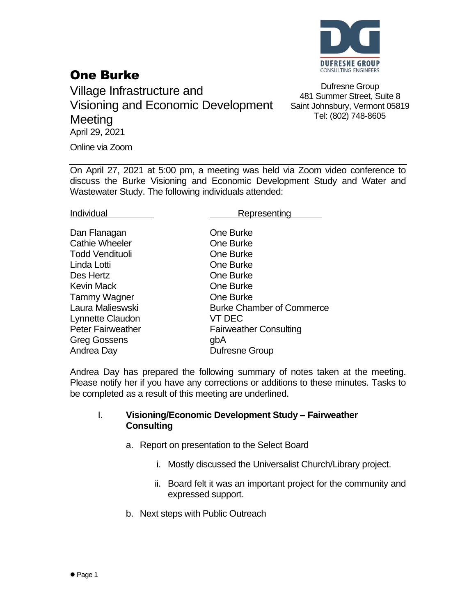

## One Burke

Village Infrastructure and Visioning and Economic Development **Meeting** April 29, 2021

Dufresne Group 481 Summer Street, Suite 8 Saint Johnsbury, Vermont 05819 Tel: (802) 748-8605

Online via Zoom

On April 27, 2021 at 5:00 pm, a meeting was held via Zoom video conference to discuss the Burke Visioning and Economic Development Study and Water and Wastewater Study. The following individuals attended:

Individual **Representing** 

| Dan Flanagan             | One Burke                        |
|--------------------------|----------------------------------|
| <b>Cathie Wheeler</b>    | One Burke                        |
| <b>Todd Vendituoli</b>   | One Burke                        |
| Linda Lotti              | One Burke                        |
| Des Hertz                | One Burke                        |
| <b>Kevin Mack</b>        | One Burke                        |
| <b>Tammy Wagner</b>      | One Burke                        |
| Laura Malieswski         | <b>Burke Chamber of Commerce</b> |
| Lynnette Claudon         | <b>VT DEC</b>                    |
| <b>Peter Fairweather</b> | <b>Fairweather Consulting</b>    |
| <b>Greg Gossens</b>      | gbA                              |
| Andrea Day               | <b>Dufresne Group</b>            |

Andrea Day has prepared the following summary of notes taken at the meeting. Please notify her if you have any corrections or additions to these minutes. Tasks to be completed as a result of this meeting are underlined.

## I. **Visioning/Economic Development Study – Fairweather Consulting**

- a. Report on presentation to the Select Board
	- i. Mostly discussed the Universalist Church/Library project.
	- ii. Board felt it was an important project for the community and expressed support.
- b. Next steps with Public Outreach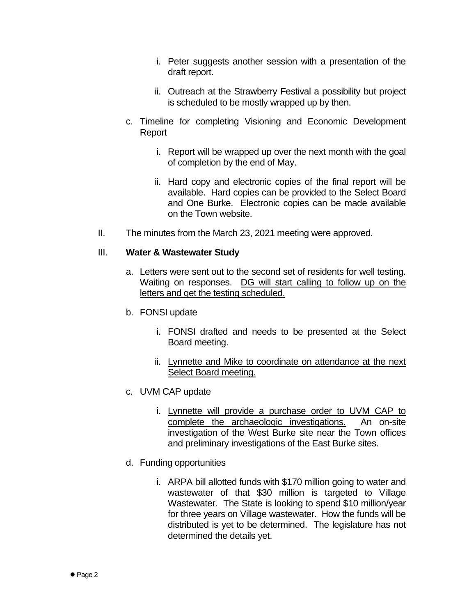- i. Peter suggests another session with a presentation of the draft report.
- ii. Outreach at the Strawberry Festival a possibility but project is scheduled to be mostly wrapped up by then.
- c. Timeline for completing Visioning and Economic Development Report
	- i. Report will be wrapped up over the next month with the goal of completion by the end of May.
	- ii. Hard copy and electronic copies of the final report will be available. Hard copies can be provided to the Select Board and One Burke. Electronic copies can be made available on the Town website.
- II. The minutes from the March 23, 2021 meeting were approved.

## III. **Water & Wastewater Study**

- a. Letters were sent out to the second set of residents for well testing. Waiting on responses. DG will start calling to follow up on the letters and get the testing scheduled.
- b. FONSI update
	- i. FONSI drafted and needs to be presented at the Select Board meeting.
	- ii. Lynnette and Mike to coordinate on attendance at the next Select Board meeting.
- c. UVM CAP update
	- i. Lynnette will provide a purchase order to UVM CAP to complete the archaeologic investigations. An on-site investigation of the West Burke site near the Town offices and preliminary investigations of the East Burke sites.
- d. Funding opportunities
	- i. ARPA bill allotted funds with \$170 million going to water and wastewater of that \$30 million is targeted to Village Wastewater. The State is looking to spend \$10 million/year for three years on Village wastewater. How the funds will be distributed is yet to be determined. The legislature has not determined the details yet.